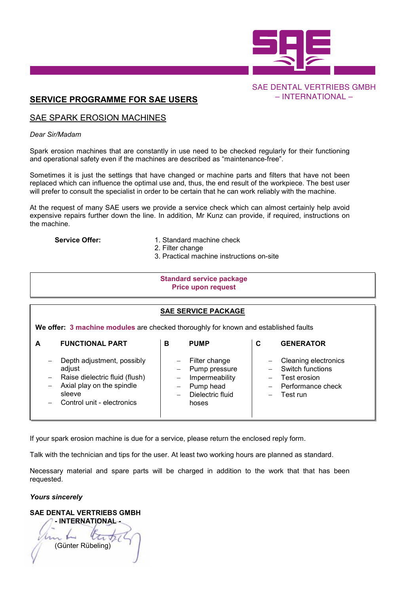

# – INTERNATIONAL –

## <u>SERVICE PROGRAMME FOR SAE USERS</u>

### SAE SPARK EROSION MACHINES SAE SPARK EROSION MACHINES SAE SPARK EROSION MACHINES SAE SPARK EROSION MACHINES SAE SPARK EROSION MACHINES SAE SPARK EROSION MACHINES

### *Dear Sir/Madam Dear Sir/Madam Dear Sir/Madam Dear Sir/Madam Dear Sir/MadamDear Sir/Madam*

Spark erosion machines that are constantly in use need to be checked regularly for their functioning and operational safety even if the machines are described as "maintenance-free".

Sometimes it is just the settings that have changed or machine parts and filters that have not been Sometimes it is just the settings that have changed or machine parts and filters that have not been<br>replaced which can influence the optimal use and, thus, the end result of the workpiece. The best user will prefer to consult the specialist in order to be certain that he can work reliably with the machine. SAE DENTAL VERTRIEBS GMBH<br>
- INTERNATIONAL -<br>
in use need to be checked regularly for their functioning<br>
re described as "maintenance-free".<br>
hanged or machine parts and filters that have not been<br>
and, thus, the end resul

At the request of many SAE users we provide a service check which can almost certainly help avoid expensive repairs further down the line. In addition, Mr Kunz can provide, if required, instructions on the machine. the machine. the machine. the machine. the machine. prefer to consult the specialist in order to be certain that he can work reliably with the machine.<br>he request of many SAE users we provide a service check which can almost certainly help avoid<br>ensive repairs further down repairs further down the line. In addition, Mr Kunz can provide, if required, instructions on

- **Service Offer:** 1. Standard machine check
	- 2. Filter change 2. Filter change 2. Filter change 2. Filter change
	- 3. Practical machine instructions on-site 3. Practical machine instructions on-site 3. Practical machine instructions on-site 3. Practical machine instructions on-site iange <sub>2. Fil</sub>ter 3. But machine instructions on-site

#### **Standard service package Price upon request Price upon request Price upon request Price upon request Price upon request**

#### **SAE SERVICE PACKAGE SAE SERVICE PACKAGE SAE SERVICE PACKAGE SAE SERVICE PACKAGE SAE SERVICE PACKAGE SAE SERVICE PACKAGE**

|                                                                                                                   | <b>Standard service package</b><br><b>Price upon request</b>                                                                                |   |                                                                                            |   |                                                                                                  |  |
|-------------------------------------------------------------------------------------------------------------------|---------------------------------------------------------------------------------------------------------------------------------------------|---|--------------------------------------------------------------------------------------------|---|--------------------------------------------------------------------------------------------------|--|
| <b>SAE SERVICE PACKAGE</b><br>We offer: 3 machine modules are checked thoroughly for known and established faults |                                                                                                                                             |   |                                                                                            |   |                                                                                                  |  |
| A                                                                                                                 | <b>FUNCTIONAL PART</b>                                                                                                                      | в | <b>PUMP</b>                                                                                | C | <b>GENERATOR</b>                                                                                 |  |
|                                                                                                                   | Depth adjustment, possibly<br>adjust<br>Raise dielectric fluid (flush)<br>Axial play on the spindle<br>sleeve<br>Control unit - electronics |   | Filter change<br>Pump pressure<br>Impermeability<br>Pump head<br>Dielectric fluid<br>hoses |   | <b>Cleaning electronics</b><br>Switch functions<br>Test erosion<br>Performance check<br>Test run |  |

Talk with the technician and tips for the user. At least two working hours are planned as standard.

Talk with the technician and tips for the user. At least two working hours are planned as standard.<br>Necessary material and spare parts will be charged in addition to the work that that has been requested. requested. requested. requested. requested.

#### *Yours sincerely Yours sincerely Yours sincerely Yours sincerely sincerely Yours sincerely*